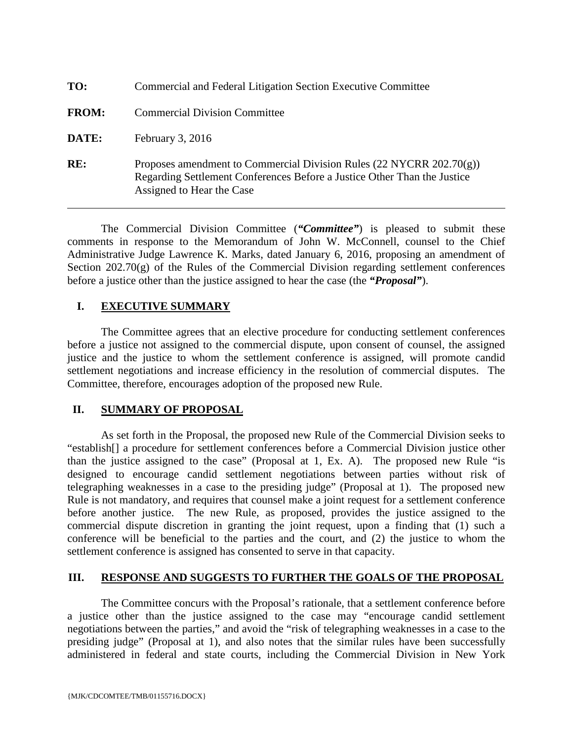| TO:          | Commercial and Federal Litigation Section Executive Committee                                                                                                                    |
|--------------|----------------------------------------------------------------------------------------------------------------------------------------------------------------------------------|
| <b>FROM:</b> | <b>Commercial Division Committee</b>                                                                                                                                             |
| DATE:        | February $3, 2016$                                                                                                                                                               |
| RE:          | Proposes amendment to Commercial Division Rules (22 NYCRR $202.70(g)$ )<br>Regarding Settlement Conferences Before a Justice Other Than the Justice<br>Assigned to Hear the Case |

The Commercial Division Committee (*"Committee"*) is pleased to submit these comments in response to the Memorandum of John W. McConnell, counsel to the Chief Administrative Judge Lawrence K. Marks, dated January 6, 2016, proposing an amendment of Section 202.70(g) of the Rules of the Commercial Division regarding settlement conferences before a justice other than the justice assigned to hear the case (the *"Proposal"*).

## **I. EXECUTIVE SUMMARY**

The Committee agrees that an elective procedure for conducting settlement conferences before a justice not assigned to the commercial dispute, upon consent of counsel, the assigned justice and the justice to whom the settlement conference is assigned, will promote candid settlement negotiations and increase efficiency in the resolution of commercial disputes. The Committee, therefore, encourages adoption of the proposed new Rule.

## **II. SUMMARY OF PROPOSAL**

As set forth in the Proposal, the proposed new Rule of the Commercial Division seeks to "establish[] a procedure for settlement conferences before a Commercial Division justice other than the justice assigned to the case" (Proposal at 1, Ex. A). The proposed new Rule "is designed to encourage candid settlement negotiations between parties without risk of telegraphing weaknesses in a case to the presiding judge" (Proposal at 1). The proposed new Rule is not mandatory, and requires that counsel make a joint request for a settlement conference before another justice. The new Rule, as proposed, provides the justice assigned to the commercial dispute discretion in granting the joint request, upon a finding that (1) such a conference will be beneficial to the parties and the court, and (2) the justice to whom the settlement conference is assigned has consented to serve in that capacity.

## **III. RESPONSE AND SUGGESTS TO FURTHER THE GOALS OF THE PROPOSAL**

The Committee concurs with the Proposal's rationale, that a settlement conference before a justice other than the justice assigned to the case may "encourage candid settlement negotiations between the parties," and avoid the "risk of telegraphing weaknesses in a case to the presiding judge" (Proposal at 1), and also notes that the similar rules have been successfully administered in federal and state courts, including the Commercial Division in New York